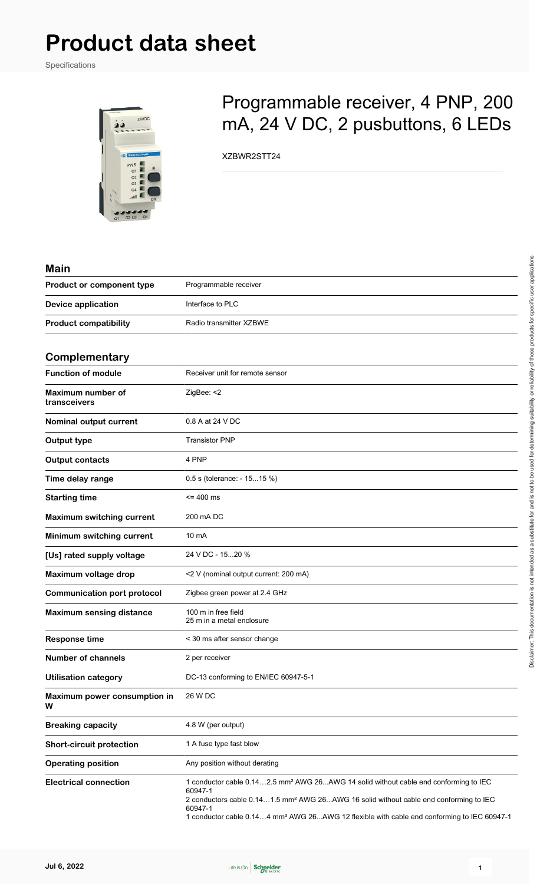Specifications



# Programmable receiver, 4 PNP, 200 mA, 24 V DC, 2 pusbuttons, 6 LEDs

XZBWR2STT24

| <b>Main</b>                        |                                                                                                                                                                                                                                                                                                                                        |
|------------------------------------|----------------------------------------------------------------------------------------------------------------------------------------------------------------------------------------------------------------------------------------------------------------------------------------------------------------------------------------|
| Product or component type          | Programmable receiver                                                                                                                                                                                                                                                                                                                  |
| <b>Device application</b>          | Interface to PLC                                                                                                                                                                                                                                                                                                                       |
| <b>Product compatibility</b>       | Radio transmitter XZBWE                                                                                                                                                                                                                                                                                                                |
| Complementary                      |                                                                                                                                                                                                                                                                                                                                        |
| <b>Function of module</b>          | Receiver unit for remote sensor                                                                                                                                                                                                                                                                                                        |
| Maximum number of<br>transceivers  | ZigBee: <2                                                                                                                                                                                                                                                                                                                             |
| Nominal output current             | 0.8 A at 24 V DC                                                                                                                                                                                                                                                                                                                       |
| Output type                        | <b>Transistor PNP</b>                                                                                                                                                                                                                                                                                                                  |
| <b>Output contacts</b>             | 4 PNP                                                                                                                                                                                                                                                                                                                                  |
| Time delay range                   | 0.5 s (tolerance: - 1515 %)                                                                                                                                                                                                                                                                                                            |
| <b>Starting time</b>               | $= 400$ ms                                                                                                                                                                                                                                                                                                                             |
| <b>Maximum switching current</b>   | 200 mA DC                                                                                                                                                                                                                                                                                                                              |
| Minimum switching current          | 10 mA                                                                                                                                                                                                                                                                                                                                  |
| [Us] rated supply voltage          | 24 V DC - 1520 %                                                                                                                                                                                                                                                                                                                       |
| Maximum voltage drop               | <2 V (nominal output current: 200 mA)                                                                                                                                                                                                                                                                                                  |
| <b>Communication port protocol</b> | Zigbee green power at 2.4 GHz                                                                                                                                                                                                                                                                                                          |
| <b>Maximum sensing distance</b>    | 100 m in free field<br>25 m in a metal enclosure                                                                                                                                                                                                                                                                                       |
| <b>Response time</b>               | < 30 ms after sensor change                                                                                                                                                                                                                                                                                                            |
| <b>Number of channels</b>          | 2 per receiver                                                                                                                                                                                                                                                                                                                         |
| <b>Utilisation category</b>        | DC-13 conforming to EN/IEC 60947-5-1                                                                                                                                                                                                                                                                                                   |
| Maximum power consumption in<br>W  | 26 W DC                                                                                                                                                                                                                                                                                                                                |
| <b>Breaking capacity</b>           | 4.8 W (per output)                                                                                                                                                                                                                                                                                                                     |
| <b>Short-circuit protection</b>    | 1 A fuse type fast blow                                                                                                                                                                                                                                                                                                                |
| <b>Operating position</b>          | Any position without derating                                                                                                                                                                                                                                                                                                          |
| <b>Electrical connection</b>       | 1 conductor cable 0.142.5 mm <sup>2</sup> AWG 26AWG 14 solid without cable end conforming to IEC<br>60947-1<br>2 conductors cable 0.141.5 mm <sup>2</sup> AWG 26 AWG 16 solid without cable end conforming to IEC<br>60947-1<br>1 conductor cable 0.144 mm <sup>2</sup> AWG 26AWG 12 flexible with cable end conforming to IEC 60947-1 |

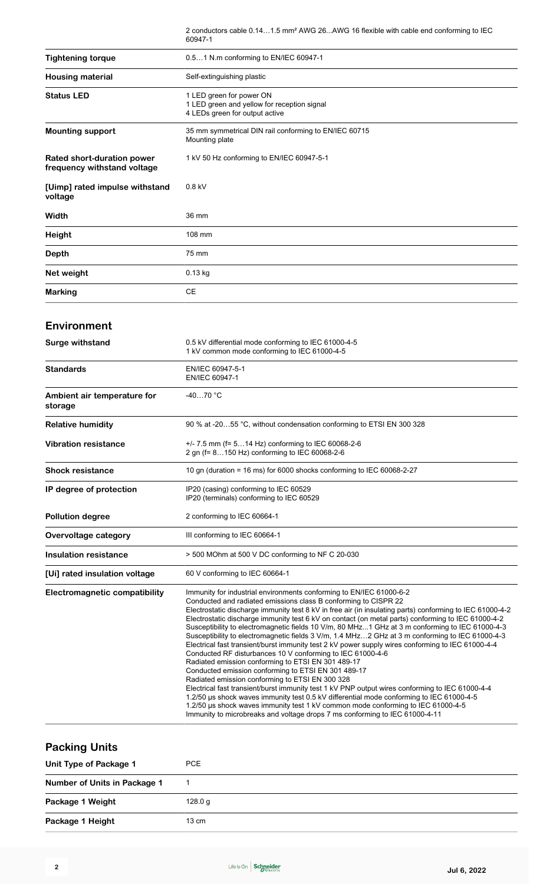|                                                           | 2 conductors cable 0.141.5 mm <sup>2</sup> AWG 26AWG 16 flexible with cable end conforming to IEC<br>60947-1 |
|-----------------------------------------------------------|--------------------------------------------------------------------------------------------------------------|
| <b>Tightening torque</b>                                  | 0.51 N.m conforming to EN/IEC 60947-1                                                                        |
| <b>Housing material</b>                                   | Self-extinguishing plastic                                                                                   |
| <b>Status LED</b>                                         | 1 LED green for power ON<br>1 LED green and yellow for reception signal<br>4 LEDs green for output active    |
| <b>Mounting support</b>                                   | 35 mm symmetrical DIN rail conforming to EN/IEC 60715<br>Mounting plate                                      |
| Rated short-duration power<br>frequency withstand voltage | 1 kV 50 Hz conforming to EN/IEC 60947-5-1                                                                    |
| [Uimp] rated impulse withstand<br>voltage                 | $0.8$ kV                                                                                                     |
| Width                                                     | 36 mm                                                                                                        |
| <b>Height</b>                                             | 108 mm                                                                                                       |
| <b>Depth</b>                                              | 75 mm                                                                                                        |
| Net weight                                                | $0.13$ kg                                                                                                    |
| <b>Marking</b>                                            | <b>CE</b>                                                                                                    |

#### **Environment**

| <b>Surge withstand</b>                 | 0.5 kV differential mode conforming to IEC 61000-4-5<br>1 kV common mode conforming to IEC 61000-4-5                                                                                                                                                                                                                                                                                                                                                                                                                                                                                                                                                                                                                                                                                                                                                                                                                                                                                                                                                                                                                                                                                                                                                                |
|----------------------------------------|---------------------------------------------------------------------------------------------------------------------------------------------------------------------------------------------------------------------------------------------------------------------------------------------------------------------------------------------------------------------------------------------------------------------------------------------------------------------------------------------------------------------------------------------------------------------------------------------------------------------------------------------------------------------------------------------------------------------------------------------------------------------------------------------------------------------------------------------------------------------------------------------------------------------------------------------------------------------------------------------------------------------------------------------------------------------------------------------------------------------------------------------------------------------------------------------------------------------------------------------------------------------|
| <b>Standards</b>                       | EN/IEC 60947-5-1<br>EN/IEC 60947-1                                                                                                                                                                                                                                                                                                                                                                                                                                                                                                                                                                                                                                                                                                                                                                                                                                                                                                                                                                                                                                                                                                                                                                                                                                  |
| Ambient air temperature for<br>storage | $-4070 °C$                                                                                                                                                                                                                                                                                                                                                                                                                                                                                                                                                                                                                                                                                                                                                                                                                                                                                                                                                                                                                                                                                                                                                                                                                                                          |
| <b>Relative humidity</b>               | 90 % at -2055 °C, without condensation conforming to ETSI EN 300 328                                                                                                                                                                                                                                                                                                                                                                                                                                                                                                                                                                                                                                                                                                                                                                                                                                                                                                                                                                                                                                                                                                                                                                                                |
| <b>Vibration resistance</b>            | +/- 7.5 mm (f= 514 Hz) conforming to IEC 60068-2-6<br>2 gn (f= 8150 Hz) conforming to IEC 60068-2-6                                                                                                                                                                                                                                                                                                                                                                                                                                                                                                                                                                                                                                                                                                                                                                                                                                                                                                                                                                                                                                                                                                                                                                 |
| <b>Shock resistance</b>                | 10 gn (duration = 16 ms) for 6000 shocks conforming to IEC 60068-2-27                                                                                                                                                                                                                                                                                                                                                                                                                                                                                                                                                                                                                                                                                                                                                                                                                                                                                                                                                                                                                                                                                                                                                                                               |
| IP degree of protection                | IP20 (casing) conforming to IEC 60529<br>IP20 (terminals) conforming to IEC 60529                                                                                                                                                                                                                                                                                                                                                                                                                                                                                                                                                                                                                                                                                                                                                                                                                                                                                                                                                                                                                                                                                                                                                                                   |
| <b>Pollution degree</b>                | 2 conforming to IEC 60664-1                                                                                                                                                                                                                                                                                                                                                                                                                                                                                                                                                                                                                                                                                                                                                                                                                                                                                                                                                                                                                                                                                                                                                                                                                                         |
| Overvoltage category                   | III conforming to IEC 60664-1                                                                                                                                                                                                                                                                                                                                                                                                                                                                                                                                                                                                                                                                                                                                                                                                                                                                                                                                                                                                                                                                                                                                                                                                                                       |
| <b>Insulation resistance</b>           | > 500 MOhm at 500 V DC conforming to NF C 20-030                                                                                                                                                                                                                                                                                                                                                                                                                                                                                                                                                                                                                                                                                                                                                                                                                                                                                                                                                                                                                                                                                                                                                                                                                    |
| [Ui] rated insulation voltage          | 60 V conforming to IEC 60664-1                                                                                                                                                                                                                                                                                                                                                                                                                                                                                                                                                                                                                                                                                                                                                                                                                                                                                                                                                                                                                                                                                                                                                                                                                                      |
| <b>Electromagnetic compatibility</b>   | Immunity for industrial environments conforming to EN/IEC 61000-6-2<br>Conducted and radiated emissions class B conforming to CISPR 22<br>Electrostatic discharge immunity test 8 kV in free air (in insulating parts) conforming to IEC 61000-4-2<br>Electrostatic discharge immunity test 6 kV on contact (on metal parts) conforming to IEC 61000-4-2<br>Susceptibility to electromagnetic fields 10 V/m, 80 MHz1 GHz at 3 m conforming to IEC 61000-4-3<br>Susceptibility to electromagnetic fields 3 V/m, 1.4 MHz2 GHz at 3 m conforming to IEC 61000-4-3<br>Electrical fast transient/burst immunity test 2 kV power supply wires conforming to IEC 61000-4-4<br>Conducted RF disturbances 10 V conforming to IEC 61000-4-6<br>Radiated emission conforming to ETSI EN 301 489-17<br>Conducted emission conforming to ETSI EN 301 489-17<br>Radiated emission conforming to ETSI EN 300 328<br>Electrical fast transient/burst immunity test 1 kV PNP output wires conforming to IEC 61000-4-4<br>1.2/50 us shock waves immunity test 0.5 kV differential mode conforming to IEC 61000-4-5<br>1.2/50 us shock waves immunity test 1 kV common mode conforming to IEC 61000-4-5<br>Immunity to microbreaks and voltage drops 7 ms conforming to IEC 61000-4-11 |

### **Packing Units**

| Unit Type of Package 1       | PCE.    |
|------------------------------|---------|
| Number of Units in Package 1 |         |
| Package 1 Weight             | 128.0 g |
| Package 1 Height             | 13 cm   |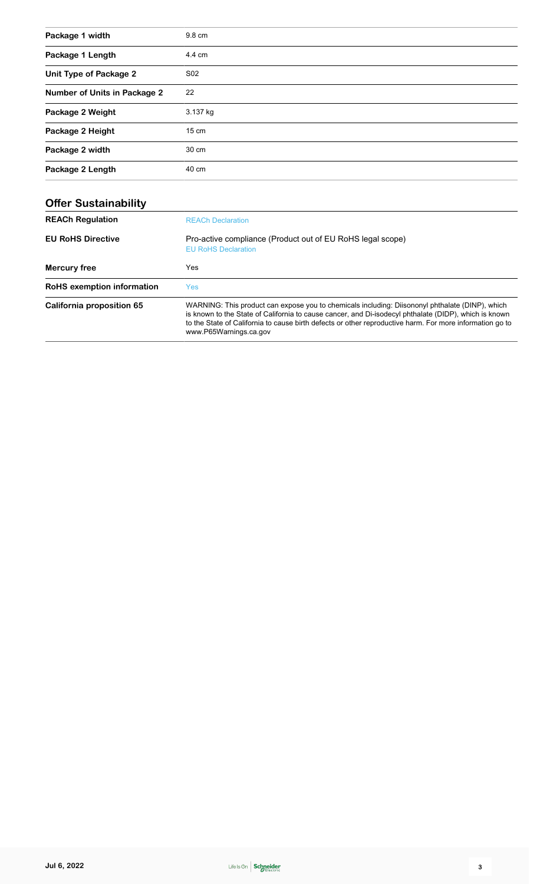| Package 1 width              | 9.8 cm          |
|------------------------------|-----------------|
| Package 1 Length             | 4.4 cm          |
| Unit Type of Package 2       | S <sub>02</sub> |
| Number of Units in Package 2 | 22              |
| Package 2 Weight             | 3.137 kg        |
| Package 2 Height             | $15 \text{ cm}$ |
| Package 2 width              | 30 cm           |
| Package 2 Length             | 40 cm           |

| <b>Offer Sustainability</b> |                                                                                                                                                                                                                                                                                                                                                |
|-----------------------------|------------------------------------------------------------------------------------------------------------------------------------------------------------------------------------------------------------------------------------------------------------------------------------------------------------------------------------------------|
| <b>REACh Regulation</b>     | <b>REACh Declaration</b>                                                                                                                                                                                                                                                                                                                       |
| <b>EU RoHS Directive</b>    | Pro-active compliance (Product out of EU RoHS legal scope)<br><b>EU RoHS Declaration</b>                                                                                                                                                                                                                                                       |
| Mercury free                | Yes                                                                                                                                                                                                                                                                                                                                            |
| RoHS exemption information  | Yes:                                                                                                                                                                                                                                                                                                                                           |
| California proposition 65   | WARNING: This product can expose you to chemicals including: Diisononyl phthalate (DINP), which<br>is known to the State of California to cause cancer, and Di-isodecyl phthalate (DIDP), which is known<br>to the State of California to cause birth defects or other reproductive harm. For more information go to<br>www.P65Warnings.ca.gov |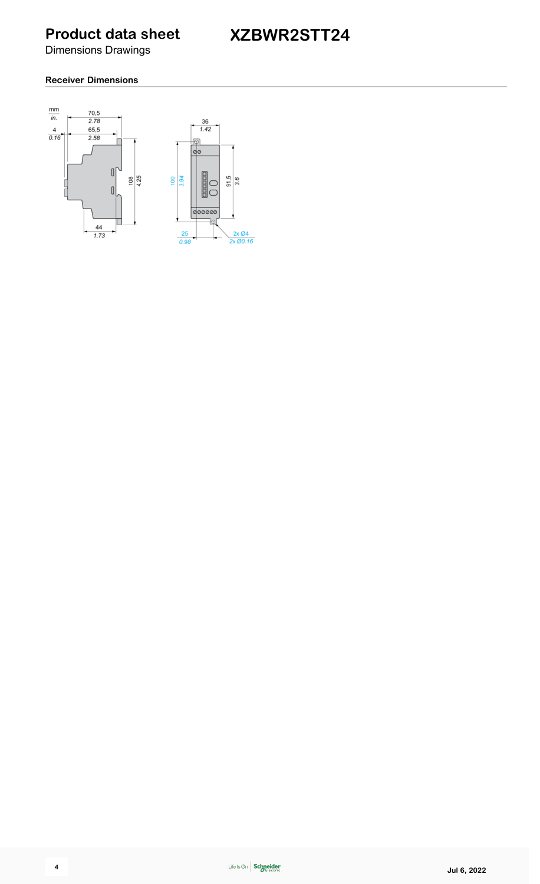# **XZBWR2STT24**

Dimensions Drawings

#### **Receiver Dimensions**

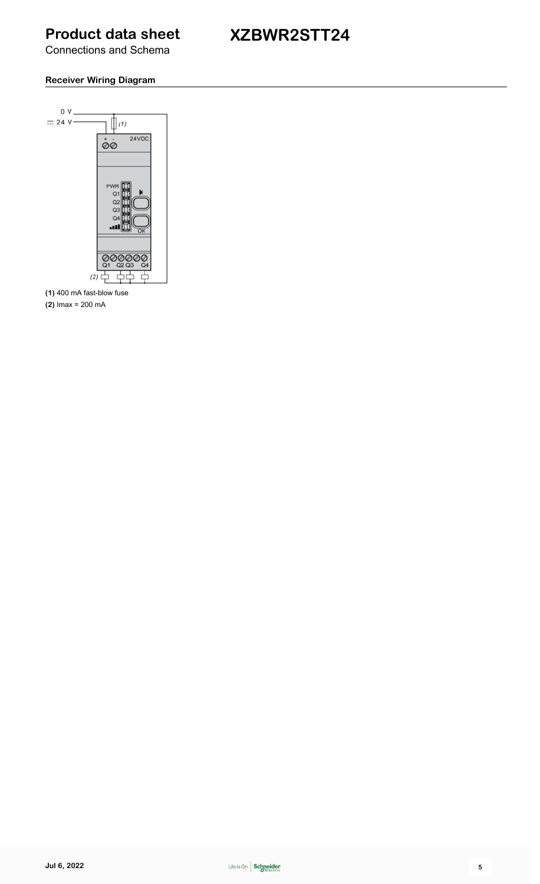#### Connections and Schema

# **XZBWR2STT24**

#### **Receiver Wiring Diagram**



**(1)** 400 mA fast-blow fuse

**(2)** Imax = 200 mA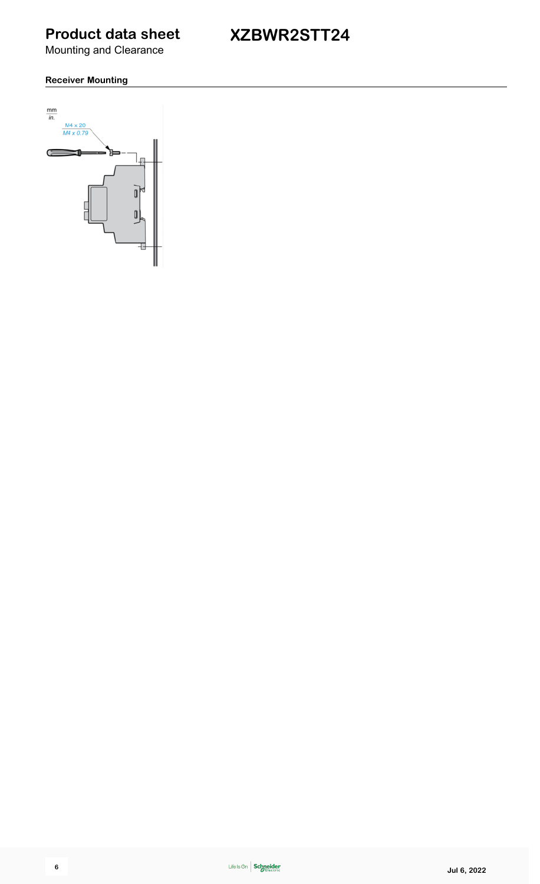**XZBWR2STT24**

Mounting and Clearance

#### **Receiver Mounting**

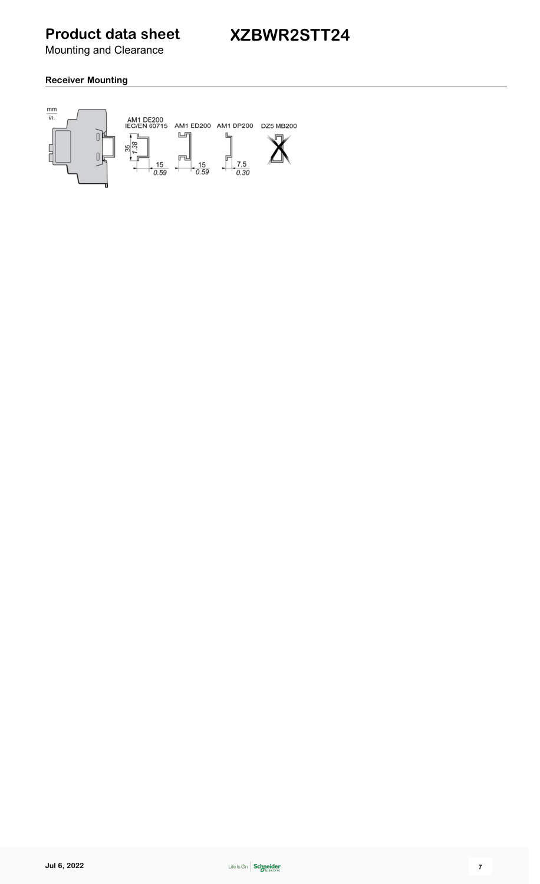Mounting and Clearance

#### **Receiver Mounting**

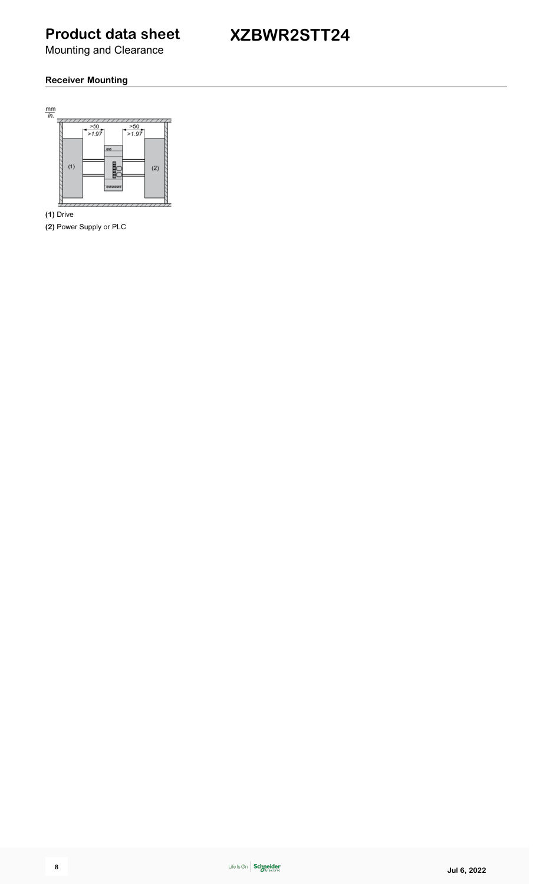# **XZBWR2STT24**

Mounting and Clearance

#### **Receiver Mounting**



**(1)** Drive

**(2)** Power Supply or PLC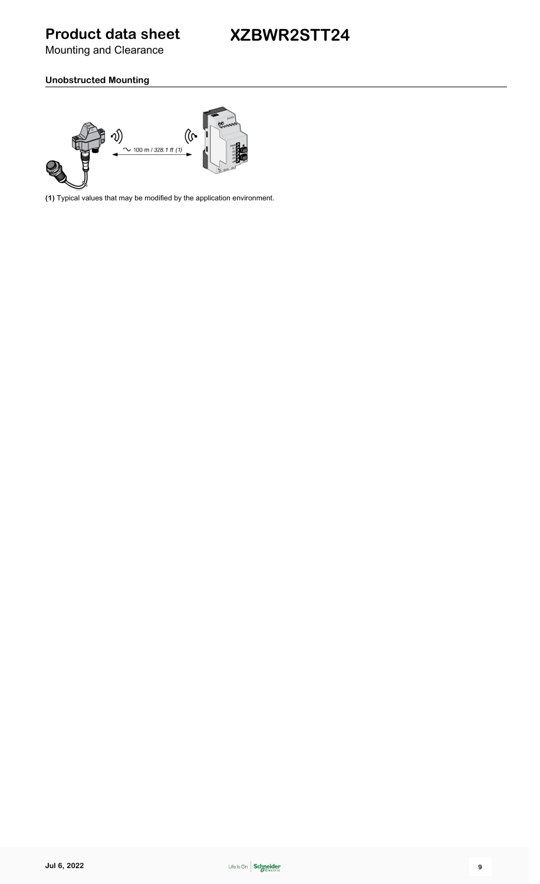# **XZBWR2STT24**

Mounting and Clearance

#### **Unobstructed Mounting**



**(1)** Typical values that may be modified by the application environment.